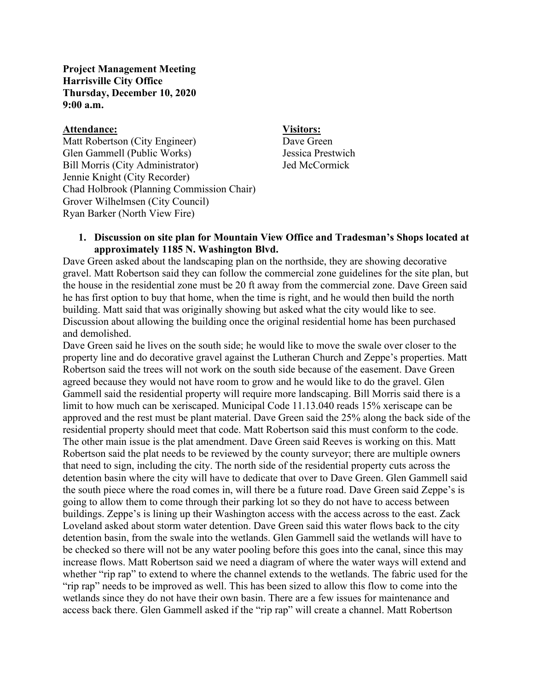**Project Management Meeting Harrisville City Office Thursday, December 10, 2020 9:00 a.m.**

### **Attendance: Visitors:**

Matt Robertson (City Engineer) Dave Green Glen Gammell (Public Works) Jessica Prestwich Bill Morris (City Administrator) Jed McCormick Jennie Knight (City Recorder) Chad Holbrook (Planning Commission Chair) Grover Wilhelmsen (City Council) Ryan Barker (North View Fire)

## **1. Discussion on site plan for Mountain View Office and Tradesman's Shops located at approximately 1185 N. Washington Blvd.**

Dave Green asked about the landscaping plan on the northside, they are showing decorative gravel. Matt Robertson said they can follow the commercial zone guidelines for the site plan, but the house in the residential zone must be 20 ft away from the commercial zone. Dave Green said he has first option to buy that home, when the time is right, and he would then build the north building. Matt said that was originally showing but asked what the city would like to see. Discussion about allowing the building once the original residential home has been purchased and demolished.

Dave Green said he lives on the south side; he would like to move the swale over closer to the property line and do decorative gravel against the Lutheran Church and Zeppe's properties. Matt Robertson said the trees will not work on the south side because of the easement. Dave Green agreed because they would not have room to grow and he would like to do the gravel. Glen Gammell said the residential property will require more landscaping. Bill Morris said there is a limit to how much can be xeriscaped. Municipal Code 11.13.040 reads 15% xeriscape can be approved and the rest must be plant material. Dave Green said the 25% along the back side of the residential property should meet that code. Matt Robertson said this must conform to the code. The other main issue is the plat amendment. Dave Green said Reeves is working on this. Matt Robertson said the plat needs to be reviewed by the county surveyor; there are multiple owners that need to sign, including the city. The north side of the residential property cuts across the detention basin where the city will have to dedicate that over to Dave Green. Glen Gammell said the south piece where the road comes in, will there be a future road. Dave Green said Zeppe's is going to allow them to come through their parking lot so they do not have to access between buildings. Zeppe's is lining up their Washington access with the access across to the east. Zack Loveland asked about storm water detention. Dave Green said this water flows back to the city detention basin, from the swale into the wetlands. Glen Gammell said the wetlands will have to be checked so there will not be any water pooling before this goes into the canal, since this may increase flows. Matt Robertson said we need a diagram of where the water ways will extend and whether "rip rap" to extend to where the channel extends to the wetlands. The fabric used for the "rip rap" needs to be improved as well. This has been sized to allow this flow to come into the wetlands since they do not have their own basin. There are a few issues for maintenance and access back there. Glen Gammell asked if the "rip rap" will create a channel. Matt Robertson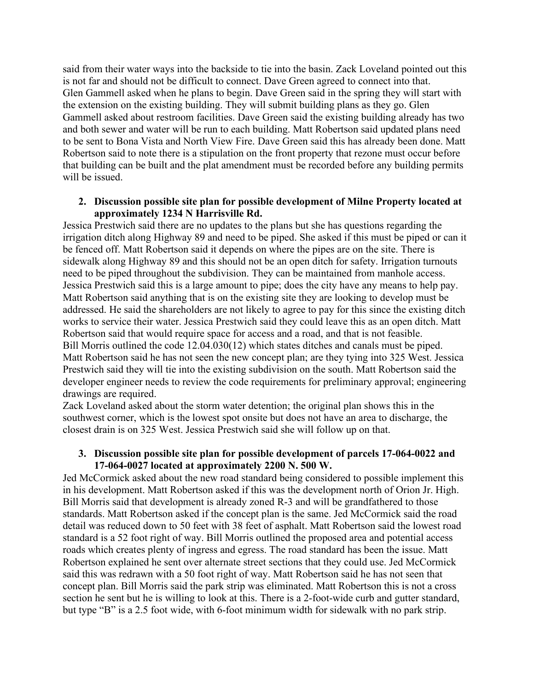said from their water ways into the backside to tie into the basin. Zack Loveland pointed out this is not far and should not be difficult to connect. Dave Green agreed to connect into that. Glen Gammell asked when he plans to begin. Dave Green said in the spring they will start with the extension on the existing building. They will submit building plans as they go. Glen Gammell asked about restroom facilities. Dave Green said the existing building already has two and both sewer and water will be run to each building. Matt Robertson said updated plans need to be sent to Bona Vista and North View Fire. Dave Green said this has already been done. Matt Robertson said to note there is a stipulation on the front property that rezone must occur before that building can be built and the plat amendment must be recorded before any building permits will be issued.

# **2. Discussion possible site plan for possible development of Milne Property located at approximately 1234 N Harrisville Rd.**

Jessica Prestwich said there are no updates to the plans but she has questions regarding the irrigation ditch along Highway 89 and need to be piped. She asked if this must be piped or can it be fenced off. Matt Robertson said it depends on where the pipes are on the site. There is sidewalk along Highway 89 and this should not be an open ditch for safety. Irrigation turnouts need to be piped throughout the subdivision. They can be maintained from manhole access. Jessica Prestwich said this is a large amount to pipe; does the city have any means to help pay. Matt Robertson said anything that is on the existing site they are looking to develop must be addressed. He said the shareholders are not likely to agree to pay for this since the existing ditch works to service their water. Jessica Prestwich said they could leave this as an open ditch. Matt Robertson said that would require space for access and a road, and that is not feasible. Bill Morris outlined the code 12.04.030(12) which states ditches and canals must be piped. Matt Robertson said he has not seen the new concept plan; are they tying into 325 West. Jessica Prestwich said they will tie into the existing subdivision on the south. Matt Robertson said the developer engineer needs to review the code requirements for preliminary approval; engineering drawings are required.

Zack Loveland asked about the storm water detention; the original plan shows this in the southwest corner, which is the lowest spot onsite but does not have an area to discharge, the closest drain is on 325 West. Jessica Prestwich said she will follow up on that.

## **3. Discussion possible site plan for possible development of parcels 17-064-0022 and 17-064-0027 located at approximately 2200 N. 500 W.**

Jed McCormick asked about the new road standard being considered to possible implement this in his development. Matt Robertson asked if this was the development north of Orion Jr. High. Bill Morris said that development is already zoned R-3 and will be grandfathered to those standards. Matt Robertson asked if the concept plan is the same. Jed McCormick said the road detail was reduced down to 50 feet with 38 feet of asphalt. Matt Robertson said the lowest road standard is a 52 foot right of way. Bill Morris outlined the proposed area and potential access roads which creates plenty of ingress and egress. The road standard has been the issue. Matt Robertson explained he sent over alternate street sections that they could use. Jed McCormick said this was redrawn with a 50 foot right of way. Matt Robertson said he has not seen that concept plan. Bill Morris said the park strip was eliminated. Matt Robertson this is not a cross section he sent but he is willing to look at this. There is a 2-foot-wide curb and gutter standard, but type "B" is a 2.5 foot wide, with 6-foot minimum width for sidewalk with no park strip.